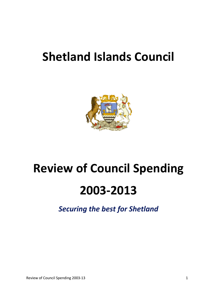## **Shetland Islands Council**



# **Review of Council Spending 2003-2013**

*Securing the best for Shetland*

Review of Council Spending 2003-13 1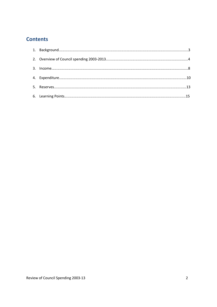## **Contents**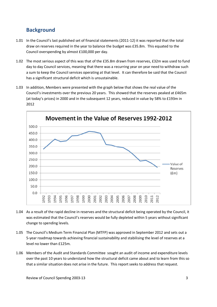## **Background**

- 1.01 In the Council's last published set of financial statements (2011-12) it was reported that the total draw on reserves required in the year to balance the budget was £35.8m. This equated to the Council overspending by almost £100,000 per day.
- 1.02 The most serious aspect of this was that of the £35.8m drawn from reserves, £32m was used to fund day to day Council services, meaning that there was a recurring year on year need to withdraw such a sum to keep the Council services operating at that level. It can therefore be said that the Council has a significant structural deficit which is unsustainable.
- 1.03 In addition, Members were presented with the graph below that shows the real value of the Council's investments over the previous 20 years. This showed that the reserves peaked at £465m (at today's prices) in 2000 and in the subsequent 12 years, reduced in value by 58% to £193m in 2012



- 1.04 As a result of the rapid decline in reserves and the structural deficit being operated by the Council, it was estimated that the Council's reserves would be fully depleted within 5 years without significant change to spending levels.
- 1.05 The Council's Medium Term Financial Plan (MTFP) was approved in September 2012 and sets out a 5-year roadmap towards achieving financial sustainability and stabilising the level of reserves at a level no lower than £125m.
- 1.06 Members of the Audit and Standards Committee sought an audit of income and expenditure levels over the past 10 years to understand how the structural deficit came about and to learn from this so that a similar situation does not arise in the future. This report seeks to address that request.

Review of Council Spending 2003-13 3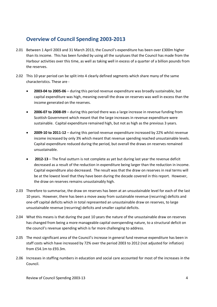## **Overview of Council Spending 2003-2013**

- 2.01 Between 1 April 2003 and 31 March 2013, the Council's expenditure has been over £300m higher than its income. This has been funded by using all the surpluses that the Council has made from the Harbour activities over this time, as well as taking well in excess of a quarter of a billion pounds from the reserves.
- 2.02 This 10 year period can be split into 4 clearly defined segments which share many of the same characteristics. These are
	- x **2003-04 to 2005-06** during this period revenue expenditure was broadly sustainable, but capital expenditure was high, meaning overall the draw on reserves was well in excess than the income generated on the reserves.
	- x **2006-07 to 2008-09** during this period there was a large increase in revenue funding from Scottish Government which meant that the large increases in revenue expenditure were sustainable. Capital expenditure remained high, but not as high as the previous 3 years.
	- **•** 2009-10 to 2011-12 during this period revenue expenditure increased by 22% whilst revenue income increased by only 3% which meant that revenue spending reached unsustainable levels. Capital expenditure reduced during the period, but overall the draws on reserves remained unsustainable.
	- **•** 2012-13 The final outturn is not complete as yet but during last year the revenue deficit decreased as a result of the reduction in expenditure being larger than the reduction in income. Capital expenditure also decreased. The result was that the draw on reserves in real terms will be at the lowest level that they have been during the decade covered in this report. However, the draw on reserves remains unsustainably high.
- 2.03 Therefore to summarise, the draw on reserves has been at an unsustainable level for each of the last 10 years. However, there has been a move away from sustainable revenue (recurring) deficits and one-off capital deficits which in total represented an unsustainable draw on reserves, to large unsustainable revenue (recurring) deficits and smaller capital deficits.
- 2.04 What this means is that during the past 10 years the nature of the unsustainable draw on reserves has changed from being a more manageable capital overspending nature, to a structural deficit on the council's revenue spending which is far more challenging to address.
- 2.05 The most significant area of the Council's increase in general fund revenue expenditure has been in staff costs which have increased by 72% over the period 2003 to 2012 (not adjusted for inflation) from £54.1m to £93.3m.
- 2.06 Increases in staffing numbers in education and social care accounted for most of the increases in the Council.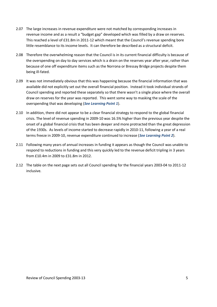- 2.07 The large increases in revenue expenditure were not matched by corresponding increases in revenue income and as a result a "budget gap" developed which was filled by a draw on reserves. This reached a level of £31.8m in 2011-12 which meant that the Council's revenue spending bore little resemblance to its income levels. It can therefore be described as a structural deficit.
- 2.08 Therefore the overwhelming reason that the Council is in its current financial difficulty is because of the overspending on day to day services which is a drain on the reserves year after year, rather than because of one off expenditure items such as the Norrona or Bressay Bridge projects despite them being ill-fated.
- 2.09 It was not immediately obvious that this was happening because the financial information that was available did not explicitly set out the overall financial position. Instead it took individual strands of Council spending and reported these separately so that there wasn't a single place where the overall draw on reserves for the year was reported. This went some way to masking the scale of the overspending that was developing (*See Learning Point 1*).
- 2.10 In addition, there did not appear to be a clear financial strategy to respond to the global financial crisis. The level of revenue spending in 2009-10 was 16.5% higher than the previous year despite the onset of a global financial crisis that has been deeper and more protracted than the great depression of the 1930s. As levels of income started to decrease rapidly in 2010-11, following a year of a real terms freeze in 2009-10, revenue expenditure continued to increase (*See Learning Point 2*).
- 2.11 Following many years of annual increases in funding it appears as though the Council was unable to respond to reductions in funding and this very quickly led to the revenue deficit tripling in 3 years from £10.4m in 2009 to £31.8m in 2012.
- 2.12 The table on the next page sets out all Council spending for the financial years 2003-04 to 2011-12 inclusive.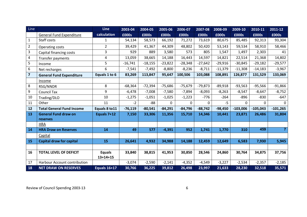| Line                    |                                  | <b>Line</b>                     | 2003-04   | 2004-05   | 2005-06   | 2006-07   | 2007-08   | 2008-09   | 2009-10    | 2010-11    | 2011-12        |
|-------------------------|----------------------------------|---------------------------------|-----------|-----------|-----------|-----------|-----------|-----------|------------|------------|----------------|
|                         | <b>General Fund Expenditure</b>  | calculation                     | £000s     | £000s     | £000s     | £000s     | £000s     | £000s     | £000s      | £000s      | £000s          |
| $\mathbf{1}$            | Staff costs                      | 1                               | 54,134    | 58,573    | 66,192    | 71,272    | 73,619    | 80,675    | 85,485     | 92,313     | 93,304         |
| $\overline{2}$          | Operating costs                  | $\overline{2}$                  | 39,429    | 41,367    | 44,309    | 48,802    | 50,420    | 53,143    | 59,534     | 58,910     | 58,466         |
| 3                       | Capital financing costs          | 3                               | 929       | 889       | 3,580     | 573       | 805       | 1,547     | 1,497      | 2,303      | 41             |
| 4                       | Transfer payments                | $\overline{4}$                  | 13,059    | 38,665    | 14,188    | 16,443    | 14,597    | 14,821    | 22,514     | 21,368     | 14,802         |
| 5                       | Income                           | 5                               | $-16,741$ | $-18,155$ | $-23,822$ | $-28,348$ | $-27,642$ | $-29,916$ | $-30,845$  | $-29,182$  | $-29,577$      |
| 6                       | Net recharges                    | 6                               | $-7,541$  | $-7,492$  | $-8,800$  | $-8,236$  | $-8,711$  | $-11,379$ | $-11,308$  | $-14,183$  | $-3,967$       |
| $\overline{\mathbf{z}}$ | <b>General Fund Expenditure</b>  | Equals 1 to 6                   | 83,269    | 113,847   | 95,647    | 100,506   | 103,088   | 108,891   | 126,877    | 131,529    | 133,069        |
|                         | Income                           |                                 |           |           |           |           |           |           |            |            |                |
| 8                       | <b>RSG/NNDR</b>                  | 8                               | $-68,364$ | $-72,394$ | $-75,686$ | $-75,679$ | $-79,873$ | $-89,918$ | $-93,563$  | $-95,566$  | $-91,866$      |
| 9                       | <b>Council Tax</b>               | 9                               | $-6,478$  | $-7,008$  | $-7,580$  | $-7,894$  | $-8,093$  | $-8,263$  | $-8,547$   | $-8,647$   | $-8,752$       |
| 10                      | Trading/DLO                      | 10                              | $-1,275$  | $-1,051$  | $-1,025$  | $-1,223$  | $-776$    | $-264$    | $-896$     | $-830$     | $-647$         |
| 11                      | Other                            | 11                              | $-2$      | $-88$     | 0         | 0         | $\Omega$  | -5        | $\Omega$   | 0          | $\Omega$       |
| 12                      | <b>Total General Fund Income</b> | Equals 8 to 11                  | $-76,119$ | $-80,541$ | $-84,291$ | $-84,796$ | $-88,742$ | $-98,450$ | $-103,006$ | $-105,043$ | $-101,265$     |
| 13                      | <b>General Fund draw on</b>      | Equals 7+12                     | 7,150     | 33,306    | 11,356    | 15,710    | 14,346    | 10,441    | 23,871     | 26,486     | 31,804         |
|                         | reserves                         |                                 |           |           |           |           |           |           |            |            |                |
|                         | <b>HRA</b>                       |                                 |           |           |           |           |           |           |            |            |                |
| 14                      | <b>HRA Draw on Reserves</b>      | 14                              | 49        | 577       | $-4,391$  | 952       | 1,741     | 1,770     | 310        | 459        | $\overline{7}$ |
|                         | Capital                          |                                 |           |           |           |           |           |           |            |            |                |
| 15                      | <b>Capital draw for capital</b>  | 15                              | 26,641    | 4,932     | 34,988    | 14,188    | 12,459    | 12,649    | 6,583      | 7,930      | 5,945          |
|                         |                                  |                                 |           |           |           |           |           |           |            |            |                |
| 16                      | <b>TOTAL LEVEL OF DEFICIT</b>    | <b>Equals</b><br>$13 + 14 + 15$ | 33,840    | 38,815    | 41,953    | 30,850    | 28,546    | 24,860    | 30,764     | 34,875     | 37,756         |
| 17                      | Harbour Account contribution     |                                 | $-3,074$  | $-2,590$  | $-2,141$  | $-4,352$  | $-4,549$  | $-3,227$  | $-2,534$   | $-2,357$   | $-2,185$       |
| 18                      | <b>NET DRAW ON RESERVES</b>      | <b>Equals 16+17</b>             | 30,766    | 36,225    | 39,812    | 26,498    | 23,997    | 21,633    | 28,230     | 32,518     | 35,571         |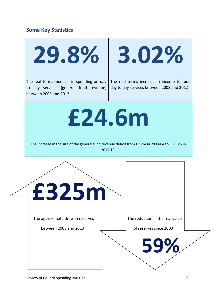## **Some Key Statistics**

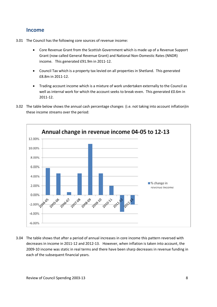### **Income**

- 3.01 The Council has the following core sources of revenue income:
	- Core Revenue Grant from the Scottish Government which is made up of a Revenue Support Grant (now called General Revenue Grant) and National Non-Domestic Rates (NNDR) income. This generated £91.9m in 2011-12.
	- Council Tax which is a property tax levied on all properties in Shetland. This generated £8.8m in 2011-12.
	- Trading account income which is a mixture of work undertaken externally to the Council as well as internal work for which the account seeks to break-even. This generated £0.6m in 2011-12.
- 3.02 The table below shows the annual cash percentage changes (i.e. not taking into account inflation)in these income streams over the period:



3.04 The table shows that after a period of annual increases in core income this pattern reversed with decreases in income in 2011-12 and 2012-13. However, when inflation is taken into account, the 2009-10 income was static in real terms and there have been sharp decreases in revenue funding in each of the subsequent financial years.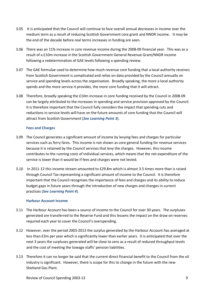- 3.05 It is anticipated that the Council will continue to face overall annual decreases in income over the medium term as a result of reducing Scottish Government core grant and NNDR income. It may be the end of the decade before real terms increases in funding are seen.
- 3.06 There was an 11% increase in core revenue income during the 2008-09 financial year. This was as a result of a £10m increase in the Scottish Government General Revenue Grant/NNDR income following a redetermination of GAE levels following a spending review.
- 3.07 The GAE formulae used to determine how much revenue core funding that a local authority receives from Scottish Government is complicated and relies on data provided by the Council annually on service and spending levels across the organisation. Broadly speaking, the more a local authority spends and the more service it provides, the more core funding that it will attract.
- 3.08 Therefore, broadly speaking the £10m increase in core funding received by the Council in 2008-09 can be largely attributed to the increases in spending and service provision approved by the Council. It is therefore important that the Council fully considers the impact that spending cuts and reductions in service levels will have on the future amounts of core funding that the Council will attract from Scottish Government (*See Learning Point 3*).

#### **Fees and Charges**

- 3.09 The Council generates a significant amount of income by levying fees and charges for particular services such as ferry fares. This income is not shown as core general funding for revenue services because it is retained by the Council services that levy the charges. However, this income contributes to the running costs of individual services, which means that the net expenditure of the service is lower than it would be if fees and charges were not levied.
- 3.10 In 2011-12 this income stream amounted to £29.8m which is almost 3.5 times more than is raised through Council Tax representing a significant amount of income to the Council. It is therefore important that the Council recognises the importance of fees and charges and its ability to reduce budget gaps in future years through the introduction of new charges and changes in current practices (*See Learning Point 4*).

#### **Harbour Account Income**

- 3.11 The Harbour Account has been a source of income to the Council for over 30 years. The surpluses generated are transferred to the Reserve Fund and this lessens the impact on the draw on reserves required each year to cover the Council's overspending.
- 3.12 However, over the period 2003-2013 the surplus generated by the Harbour Account has averaged at less than £3m per year which is significantly lower than earlier years. It is anticipated that over the next 3 years the surpluses generated will be close to zero as a result of reduced throughput levels and the cost of meeting the towage staffs' pension liabilities.
- 3.13 Therefore it can no longer be said that the current direct financial benefit to the Council from the oil industry is significant. However, there is scope for this to change in the future with the new Shetland Gas Plant.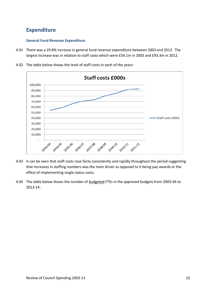## **Expenditure**

#### **General Fund Revenue Expenditure**

4.01 There was a 29.8% increase in general fund revenue expenditure between 2003 and 2012. The largest increase was in relation to staff costs which were £54.1m in 2003 and £93.3m in 2012.



4.02 The table below shows the level of staff costs in each of the years:

- 4.03 It can be seen that staff costs rose fairly consistently and rapidly throughout the period suggesting that increases in staffing numbers was the main driver as opposed to it being pay awards or the effect of implementing single status costs.
- 4.04 The table below shows the number of budgeted FTEs in the approved budgets from 2003-04 to 2013-14: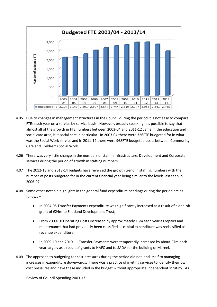

- 4.05 Due to changes in management structures in the Council during the period it is not easy to compare FTEs each year on a service by service basis. However, broadly speaking it is possible to say that almost all of the growth in FTE numbers between 2003-04 and 2011-12 came in the education and social care area, but social care in particular. In 2003-04 there were 326FTE budgeted for in what was the Social Work service and in 2011-12 there were 968FTE budgeted posts between Community Care and Children's Social Work.
- 4.06 There was very little change in the numbers of staff in Infrastructure, Development and Corporate services during the period of growth in staffing numbers.
- 4.07 The 2012-13 and 2013-14 budgets have reversed the growth trend in staffing numbers with the number of posts budgeted for in the current financial year being similar to the levels last seen in 2006-07.
- 4.08 Some other notable highlights in the general fund expenditure headings during the period are as follows –
	- In 2004-05 Transfer Payments expenditure was significantly increased as a result of a one-off grant of £24m to Shetland Development Trust;
	- From 2009-10 Operating Costs increased by approximately £6m each year as repairs and maintenance that had previously been classified as capital expenditure was reclassified as revenue expenditure;
	- In 2009-10 and 2010-11 Transfer Payments were temporarily increased by about £7m each year largely as a result of grants to NAFC and to SADA for the building of Mareel.
- 4.09 The approach to budgeting for cost pressures during the period did not lend itself to managing increases in expenditure downwards. There was a practice of inviting services to identify their own cost pressures and have these included in the budget without appropriate independent scrutiny. As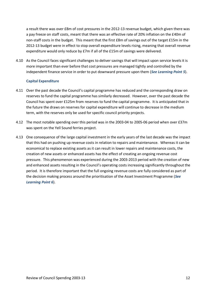a result there was over £8m of cost pressures in the 2012-13 revenue budget, which given there was a pay freeze on staff costs, meant that there was an effective rate of 20% inflation on the £40m of non-staff costs in the budget. This meant that the first £8m of savings out of the target £15m in the 2012-13 budget were in effect to stop overall expenditure levels rising, meaning that overall revenue expenditure would only reduce by £7m if all of the £15m of savings were delivered.

4.10 As the Council faces significant challenges to deliver savings that will impact upon service levels it is more important than ever before that cost pressures are managed tightly and controlled by the independent finance service in order to put downward pressure upon them (*See Learning Point 5*).

#### **Capital Expenditure**

- 4.11 Over the past decade the Council's capital programme has reduced and the corresponding draw on reserves to fund the capital programme has similarly decreased. However, over the past decade the Council has spent over £125m from reserves to fund the capital programme. It is anticipated that in the future the draws on reserves for capital expenditure will continue to decrease in the medium term, with the reserves only be used for specific council priority projects.
- 4.12 The most notable spending over this period was in the 2003-04 to 2005-06 period when over £37m was spent on the Yell Sound ferries project.
- 4.13 One consequence of the large capital investment in the early years of the last decade was the impact that this had on pushing up revenue costs in relation to repairs and maintenance. Whereas it can be economical to replace existing assets as it can result in lower repairs and maintenance costs, the creation of new assets or enhanced assets has the effect of creating an ongoing revenue cost pressure. This phenomenon was experienced during the 2003-2013 period with the creation of new and enhanced assets resulting in the Council's operating costs increasing significantly throughout the period. It is therefore important that the full ongoing revenue costs are fully considered as part of the decision making process around the prioritisation of the Asset Investment Programme (*See Learning Point 6*).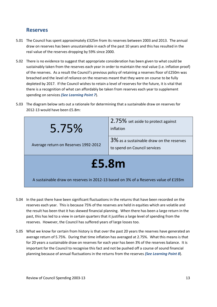## **Reserves**

- 5.01 The Council has spent approximately £325m from its reserves between 2003 and 2013. The annual draw on reserves has been unsustainable in each of the past 10 years and this has resulted in the real value of the reserves dropping by 59% since 2000.
- 5.02 There is no evidence to suggest that appropriate consideration has been given to what could be sustainably taken from the reserves each year in order to maintain the real value (i.e. inflation proof) of the reserves. As a result the Council's previous policy of retaining a reserves floor of £250m was breached and the level of reliance on the reserves meant that they were on course to be fully depleted by 2017. If the Council wishes to retain a level of reserves for the future, it is vital that there is a recognition of what can affordably be taken from reserves each year to supplement spending on services *(See Learning Point 7*).
- 5.03 The diagram below sets out a rationale for determining that a sustainable draw on reserves for 2012-13 would have been £5.8m:



- 5.04 In the past there have been significant fluctuations in the returns that have been recorded on the reserves each year. This is because 75% of the reserves are held in equities which are volatile and the result has been that it has skewed financial planning. When there has been a large return in the past, this has led to a view in certain quarters that it justifies a large level of spending from the reserves. However, the Council has suffered years of large losses too.
- 5.05 What we know for certain from history is that over the past 20 years the reserves have generated an average return of 5.75%. During that time inflation has averaged at 2.75%. What this means is that for 20 years a sustainable draw on reserves for each year has been 3% of the reserves balance. It is important for the Council to recognise this fact and not be pushed off a course of sound financial planning because of annual fluctuations in the returns from the reserves *(See Learning Point 8*).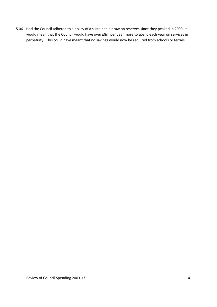5.06 Had the Council adhered to a policy of a sustainable draw on reserves since they peaked in 2000, it would mean that the Council would have over £8m per year more to spend each year on services in perpetuity. This could have meant that no savings would now be required from schools or ferries.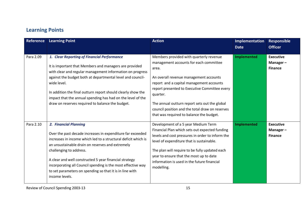## **Learning Points**

| <b>Reference</b> | <b>Learning Point</b>                                                                                                                                                                                                                                                                                                                                                                                                                        | <b>Action</b>                                                                                                                                                                                                                                                                                                                                                                                 | Implementation<br><b>Date</b> | <b>Responsible</b><br><b>Officer</b>              |
|------------------|----------------------------------------------------------------------------------------------------------------------------------------------------------------------------------------------------------------------------------------------------------------------------------------------------------------------------------------------------------------------------------------------------------------------------------------------|-----------------------------------------------------------------------------------------------------------------------------------------------------------------------------------------------------------------------------------------------------------------------------------------------------------------------------------------------------------------------------------------------|-------------------------------|---------------------------------------------------|
| Para 2.09        | 1. Clear Reporting of Financial Performance<br>It is important that Members and managers are provided<br>with clear and regular management information on progress<br>against the budget both at departmental level and council-<br>wide level.<br>In addition the final outturn report should clearly show the<br>impact that the annual spending has had on the level of the<br>draw on reserves required to balance the budget.           | Members provided with quarterly revenue<br>management accounts for each committee<br>area.<br>An overall revenue management accounts<br>report and a capital management accounts<br>report presented to Executive Committee every<br>quarter.<br>The annual outturn report sets out the global<br>council position and the total draw on reserves<br>that was required to balance the budget. | <b>Implemented</b>            | <b>Executive</b><br>Manager $-$<br><b>Finance</b> |
| Para 2.10        | 2. Financial Planning<br>Over the past decade increases in expenditure far exceeded<br>increases in income which led to a structural deficit which is<br>an unsustainable drain on reserves and extremely<br>challenging to address.<br>A clear and well constructed 5 year financial strategy<br>incorporating all Council spending is the most effective way<br>to set parameters on spending so that it is in line with<br>income levels. | Development of a 5 year Medium Term<br>Financial Plan which sets out expected funding<br>levels and cost pressures in order to inform the<br>level of expenditure that is sustainable.<br>The plan will require to be fully updated each<br>year to ensure that the most up to date<br>information is used in the future financial<br>modelling.                                              | <b>Implemented</b>            | <b>Executive</b><br>Manager-<br><b>Finance</b>    |

Review of Council Spending 2003-13 15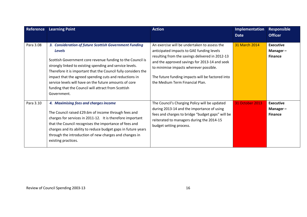| <b>Reference</b> | <b>Learning Point</b>                                                                                                                                                                                                                                                                                                                                                                                                                                         | <b>Action</b>                                                                                                                                                                                                                                                                                                                  | Implementation<br><b>Date</b> | <b>Responsible</b><br><b>Officer</b>           |
|------------------|---------------------------------------------------------------------------------------------------------------------------------------------------------------------------------------------------------------------------------------------------------------------------------------------------------------------------------------------------------------------------------------------------------------------------------------------------------------|--------------------------------------------------------------------------------------------------------------------------------------------------------------------------------------------------------------------------------------------------------------------------------------------------------------------------------|-------------------------------|------------------------------------------------|
| Para 3.08        | 3. Consideration of future Scottish Government Funding<br><b>Levels</b><br>Scottish Government core revenue funding to the Council is<br>strongly linked to existing spending and service levels.<br>Therefore it is important that the Council fully considers the<br>impact that the agreed spending cuts and reductions in<br>service levels will have on the future amounts of core<br>funding that the Council will attract from Scottish<br>Government. | An exercise will be undertaken to assess the<br>anticipated impacts to GAE funding levels<br>resulting from the savings delivered in 2012-13<br>and the approved savings for 2013-14 and seek<br>to minimise impacts wherever possible.<br>The future funding impacts will be factored into<br>the Medium Term Financial Plan. | 31 March 2014                 | <b>Executive</b><br>Manager-<br><b>Finance</b> |
| Para 3.10        | 4. Maximising fees and charges income<br>The Council raised £29.6m of income through fees and<br>charges for services in 2011-12. It is therefore important<br>that the Council recognises the importance of fees and<br>charges and its ability to reduce budget gaps in future years<br>through the introduction of new charges and changes in<br>existing practices.                                                                                       | The Council's Charging Policy will be updated<br>during 2013-14 and the importance of using<br>fees and charges to bridge "budget gaps" will be<br>reiterated to managers during the 2014-15<br>budget setting process.                                                                                                        | <b>31 October 2013</b>        | <b>Executive</b><br>Manager-<br><b>Finance</b> |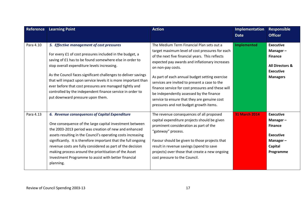| Reference | <b>Learning Point</b>                                                                                                                                                                                                                                                                                                                                                                                                                                                                                           | <b>Action</b>                                                                                                                                                                                                                                                                                                                                                                                                                                                                                                        | Implementation<br><b>Date</b> | <b>Responsible</b><br><b>Officer</b>                                                                                |
|-----------|-----------------------------------------------------------------------------------------------------------------------------------------------------------------------------------------------------------------------------------------------------------------------------------------------------------------------------------------------------------------------------------------------------------------------------------------------------------------------------------------------------------------|----------------------------------------------------------------------------------------------------------------------------------------------------------------------------------------------------------------------------------------------------------------------------------------------------------------------------------------------------------------------------------------------------------------------------------------------------------------------------------------------------------------------|-------------------------------|---------------------------------------------------------------------------------------------------------------------|
| Para 4.10 | 5. Effective management of cost pressures<br>For every £1 of cost pressures included in the budget, a<br>saving of £1 has to be found somewhere else in order to<br>stop overall expenditure levels increasing.<br>As the Council faces significant challenges to deliver savings<br>that will impact upon service levels it is more important than<br>ever before that cost pressures are managed tightly and<br>controlled by the independent finance service in order to<br>put downward pressure upon them. | The Medium Term Financial Plan sets out a<br>target maximum level of cost pressures for each<br>of the next five financial years. This reflects<br>expected pay awards and inflationary increases<br>on non-pay costs.<br>As part of each annual budget setting exercise<br>services are invited to present a case to the<br>finance service for cost pressures and these will<br>be independently assessed by the finance<br>service to ensure that they are genuine cost<br>pressures and not budget growth items. | <b>Implemented</b>            | <b>Executive</b><br>Manager-<br><b>Finance</b><br><b>All Directors &amp;</b><br><b>Executive</b><br><b>Managers</b> |
| Para 4.13 | 6. Revenue consequences of Capital Expenditure<br>One consequence of the large capital investment between<br>the 2003-2013 period was creation of new and enhanced<br>assets resulting in the Council's operating costs increasing<br>significantly. It is therefore important that the full ongoing<br>revenue costs are fully considered as part of the decision<br>making process around the prioritisation of the Asset<br>Investment Programme to assist with better financial<br>planning.                | The revenue consequences of all proposed<br>capital expenditure projects should be given<br>prominent consideration as part of the<br>"gateway" process.<br>Favour should be given to those projects that<br>result in revenue savings (spend to save<br>projects) over those that create a new ongoing<br>cost pressure to the Council.                                                                                                                                                                             | <b>31 March 2014</b>          | <b>Executive</b><br>Manager-<br><b>Finance</b><br><b>Executive</b><br>Manager-<br>Capital<br>Programme              |